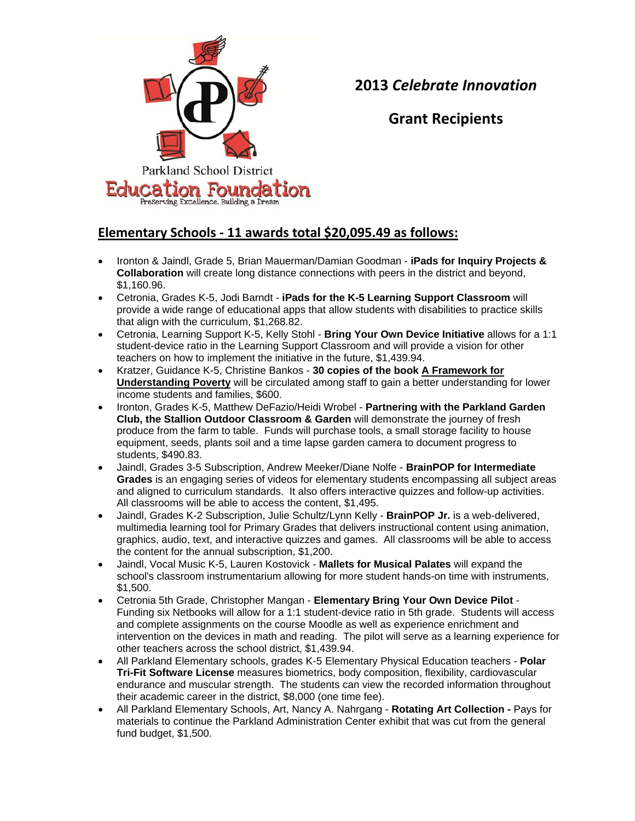

**2013** *Celebrate Innovation*

**Grant Recipients**

## **Elementary Schools ‐ 11 awards total \$20,095.49 as follows:**

- Ironton & Jaindl, Grade 5, Brian Mauerman/Damian Goodman **iPads for Inquiry Projects & Collaboration** will create long distance connections with peers in the district and beyond, \$1,160.96.
- Cetronia, Grades K-5, Jodi Barndt **iPads for the K-5 Learning Support Classroom** will provide a wide range of educational apps that allow students with disabilities to practice skills that align with the curriculum, \$1,268.82.
- Cetronia, Learning Support K-5, Kelly Stohl **Bring Your Own Device Initiative** allows for a 1:1 student-device ratio in the Learning Support Classroom and will provide a vision for other teachers on how to implement the initiative in the future, \$1,439.94.
- Kratzer, Guidance K-5, Christine Bankos **30 copies of the book A Framework for Understanding Poverty** will be circulated among staff to gain a better understanding for lower income students and families, \$600.
- Ironton, Grades K-5, Matthew DeFazio/Heidi Wrobel **Partnering with the Parkland Garden Club, the Stallion Outdoor Classroom & Garden** will demonstrate the journey of fresh produce from the farm to table. Funds will purchase tools, a small storage facility to house equipment, seeds, plants soil and a time lapse garden camera to document progress to students, \$490.83.
- Jaindl, Grades 3-5 Subscription, Andrew Meeker/Diane Nolfe **BrainPOP for Intermediate Grades** is an engaging series of videos for elementary students encompassing all subject areas and aligned to curriculum standards. It also offers interactive quizzes and follow-up activities. All classrooms will be able to access the content, \$1,495.
- Jaindl, Grades K-2 Subscription, Julie Schultz/Lynn Kelly **BrainPOP Jr.** is a web-delivered, multimedia learning tool for Primary Grades that delivers instructional content using animation, graphics, audio, text, and interactive quizzes and games. All classrooms will be able to access the content for the annual subscription, \$1,200.
- Jaindl, Vocal Music K-5, Lauren Kostovick **Mallets for Musical Palates** will expand the school's classroom instrumentarium allowing for more student hands-on time with instruments, \$1,500.
- Cetronia 5th Grade, Christopher Mangan **Elementary Bring Your Own Device Pilot** Funding six Netbooks will allow for a 1:1 student-device ratio in 5th grade. Students will access and complete assignments on the course Moodle as well as experience enrichment and intervention on the devices in math and reading. The pilot will serve as a learning experience for other teachers across the school district, \$1,439.94.
- All Parkland Elementary schools, grades K-5 Elementary Physical Education teachers **Polar Tri-Fit Software License** measures biometrics, body composition, flexibility, cardiovascular endurance and muscular strength. The students can view the recorded information throughout their academic career in the district, \$8,000 (one time fee).
- All Parkland Elementary Schools, Art, Nancy A. Nahrgang **Rotating Art Collection -** Pays for materials to continue the Parkland Administration Center exhibit that was cut from the general fund budget, \$1,500.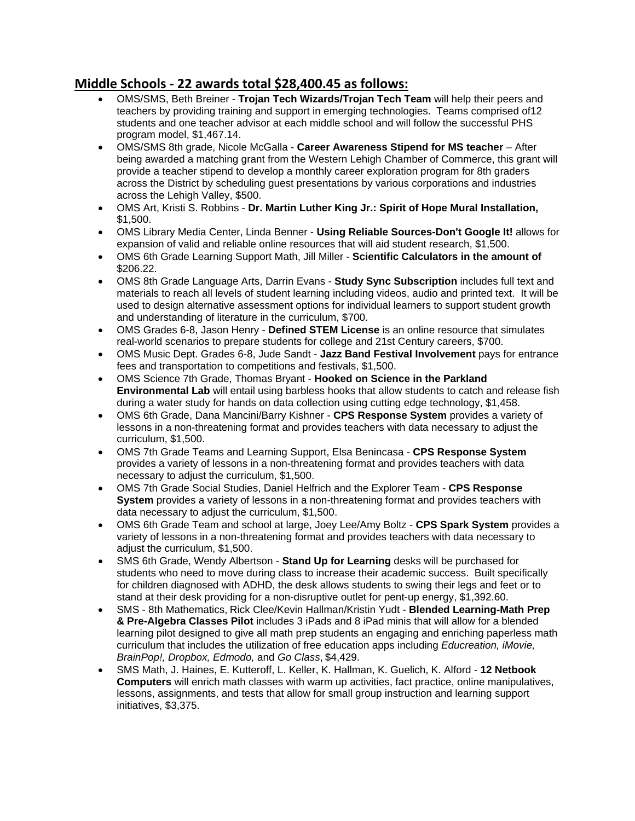## **Middle Schools ‐ 22 awards total \$28,400.45 as follows:**

- OMS/SMS, Beth Breiner **Trojan Tech Wizards/Trojan Tech Team** will help their peers and teachers by providing training and support in emerging technologies. Teams comprised of12 students and one teacher advisor at each middle school and will follow the successful PHS program model, \$1,467.14.
- OMS/SMS 8th grade, Nicole McGalla **Career Awareness Stipend for MS teacher** After being awarded a matching grant from the Western Lehigh Chamber of Commerce, this grant will provide a teacher stipend to develop a monthly career exploration program for 8th graders across the District by scheduling guest presentations by various corporations and industries across the Lehigh Valley, \$500.
- OMS Art, Kristi S. Robbins **Dr. Martin Luther King Jr.: Spirit of Hope Mural Installation,**  \$1,500.
- OMS Library Media Center, Linda Benner **Using Reliable Sources-Don't Google It!** allows for expansion of valid and reliable online resources that will aid student research, \$1,500.
- OMS 6th Grade Learning Support Math, Jill Miller **Scientific Calculators in the amount of**  \$206.22.
- OMS 8th Grade Language Arts, Darrin Evans **Study Sync Subscription** includes full text and materials to reach all levels of student learning including videos, audio and printed text. It will be used to design alternative assessment options for individual learners to support student growth and understanding of literature in the curriculum, \$700.
- OMS Grades 6-8, Jason Henry **Defined STEM License** is an online resource that simulates real-world scenarios to prepare students for college and 21st Century careers, \$700.
- OMS Music Dept. Grades 6-8, Jude Sandt **Jazz Band Festival Involvement** pays for entrance fees and transportation to competitions and festivals, \$1,500.
- OMS Science 7th Grade, Thomas Bryant **Hooked on Science in the Parkland Environmental Lab** will entail using barbless hooks that allow students to catch and release fish during a water study for hands on data collection using cutting edge technology, \$1,458.
- OMS 6th Grade, Dana Mancini/Barry Kishner **CPS Response System** provides a variety of lessons in a non-threatening format and provides teachers with data necessary to adjust the curriculum, \$1,500.
- OMS 7th Grade Teams and Learning Support, Elsa Benincasa **CPS Response System**  provides a variety of lessons in a non-threatening format and provides teachers with data necessary to adjust the curriculum, \$1,500.
- OMS 7th Grade Social Studies, Daniel Helfrich and the Explorer Team **CPS Response System** provides a variety of lessons in a non-threatening format and provides teachers with data necessary to adjust the curriculum, \$1,500.
- OMS 6th Grade Team and school at large, Joey Lee/Amy Boltz **CPS Spark System** provides a variety of lessons in a non-threatening format and provides teachers with data necessary to adjust the curriculum, \$1,500.
- SMS 6th Grade, Wendy Albertson **Stand Up for Learning** desks will be purchased for students who need to move during class to increase their academic success. Built specifically for children diagnosed with ADHD, the desk allows students to swing their legs and feet or to stand at their desk providing for a non-disruptive outlet for pent-up energy, \$1,392.60.
- SMS 8th Mathematics, Rick Clee/Kevin Hallman/Kristin Yudt **Blended Learning-Math Prep & Pre-Algebra Classes Pilot** includes 3 iPads and 8 iPad minis that will allow for a blended learning pilot designed to give all math prep students an engaging and enriching paperless math curriculum that includes the utilization of free education apps including *Educreation, iMovie, BrainPop!, Dropbox, Edmodo,* and *Go Class*, \$4,429.
- SMS Math, J. Haines, E. Kutteroff, L. Keller, K. Hallman, K. Guelich, K. Alford **12 Netbook Computers** will enrich math classes with warm up activities, fact practice, online manipulatives, lessons, assignments, and tests that allow for small group instruction and learning support initiatives, \$3,375.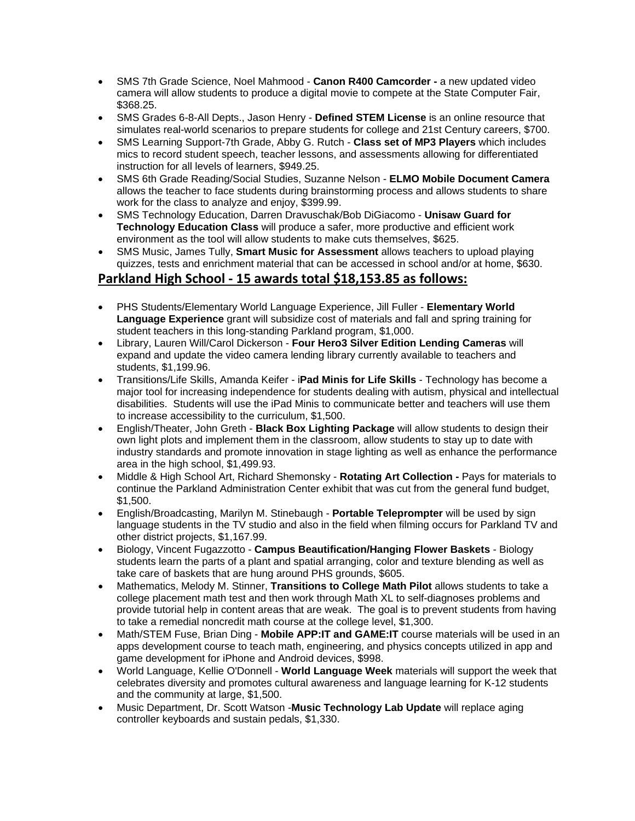- SMS 7th Grade Science, Noel Mahmood **Canon R400 Camcorder -** a new updated video camera will allow students to produce a digital movie to compete at the State Computer Fair, \$368.25.
- SMS Grades 6-8-All Depts., Jason Henry **Defined STEM License** is an online resource that simulates real-world scenarios to prepare students for college and 21st Century careers, \$700.
- SMS Learning Support-7th Grade, Abby G. Rutch **Class set of MP3 Players** which includes mics to record student speech, teacher lessons, and assessments allowing for differentiated instruction for all levels of learners, \$949.25.
- SMS 6th Grade Reading/Social Studies, Suzanne Nelson **ELMO Mobile Document Camera**  allows the teacher to face students during brainstorming process and allows students to share work for the class to analyze and enjoy, \$399.99.
- SMS Technology Education, Darren Dravuschak/Bob DiGiacomo **Unisaw Guard for Technology Education Class** will produce a safer, more productive and efficient work environment as the tool will allow students to make cuts themselves, \$625.
- SMS Music, James Tully, **Smart Music for Assessment** allows teachers to upload playing quizzes, tests and enrichment material that can be accessed in school and/or at home, \$630.

## **Parkland High School ‐ 15 awards total \$18,153.85 as follows:**

- PHS Students/Elementary World Language Experience, Jill Fuller **Elementary World Language Experience** grant will subsidize cost of materials and fall and spring training for student teachers in this long-standing Parkland program, \$1,000.
- Library, Lauren Will/Carol Dickerson **Four Hero3 Silver Edition Lending Cameras** will expand and update the video camera lending library currently available to teachers and students, \$1,199.96.
- Transitions/Life Skills, Amanda Keifer i**Pad Minis for Life Skills** Technology has become a major tool for increasing independence for students dealing with autism, physical and intellectual disabilities. Students will use the iPad Minis to communicate better and teachers will use them to increase accessibility to the curriculum, \$1,500.
- English/Theater, John Greth **Black Box Lighting Package** will allow students to design their own light plots and implement them in the classroom, allow students to stay up to date with industry standards and promote innovation in stage lighting as well as enhance the performance area in the high school, \$1,499.93.
- Middle & High School Art, Richard Shemonsky **Rotating Art Collection -** Pays for materials to continue the Parkland Administration Center exhibit that was cut from the general fund budget, \$1,500.
- English/Broadcasting, Marilyn M. Stinebaugh **Portable Teleprompter** will be used by sign language students in the TV studio and also in the field when filming occurs for Parkland TV and other district projects, \$1,167.99.
- Biology, Vincent Fugazzotto **Campus Beautification/Hanging Flower Baskets** Biology students learn the parts of a plant and spatial arranging, color and texture blending as well as take care of baskets that are hung around PHS grounds, \$605.
- Mathematics, Melody M. Stinner, **Transitions to College Math Pilot** allows students to take a college placement math test and then work through Math XL to self-diagnoses problems and provide tutorial help in content areas that are weak. The goal is to prevent students from having to take a remedial noncredit math course at the college level, \$1,300.
- Math/STEM Fuse, Brian Ding **Mobile APP:IT and GAME:IT** course materials will be used in an apps development course to teach math, engineering, and physics concepts utilized in app and game development for iPhone and Android devices, \$998.
- World Language, Kellie O'Donnell **World Language Week** materials will support the week that celebrates diversity and promotes cultural awareness and language learning for K-12 students and the community at large, \$1,500.
- Music Department, Dr. Scott Watson -**Music Technology Lab Update** will replace aging controller keyboards and sustain pedals, \$1,330.